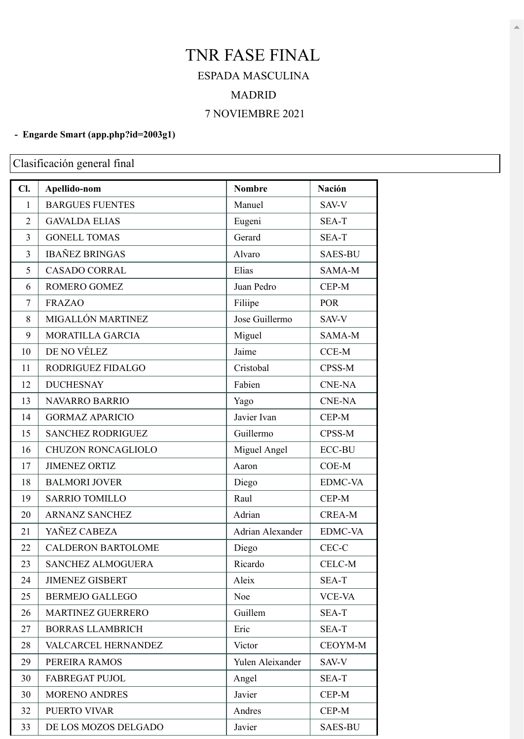## TNR FASE FINAL ESPADA MASCULINA MADRID NOVIEMBRE 2021

## **- Engarde Smart [\(app.php?id=2003g1\)](https://engarde-service.com/app.php?id=2003g1)**

Clasificación general final

| Cl.            | Apellido-nom              | <b>Nombre</b>    | <b>Nación</b>  |
|----------------|---------------------------|------------------|----------------|
| $\mathbf{1}$   | <b>BARGUES FUENTES</b>    | Manuel           | SAV-V          |
| 2              | <b>GAVALDA ELIAS</b>      | Eugeni           | SEA-T          |
| 3              | <b>GONELL TOMAS</b>       | Gerard           | SEA-T          |
| 3              | <b>IBAÑEZ BRINGAS</b>     | Alvaro           | <b>SAES-BU</b> |
| 5              | <b>CASADO CORRAL</b>      | Elias            | SAMA-M         |
| 6              | ROMERO GOMEZ              | Juan Pedro       | CEP-M          |
| $\overline{7}$ | <b>FRAZAO</b>             | Filiipe          | <b>POR</b>     |
| 8              | MIGALLÓN MARTINEZ         | Jose Guillermo   | SAV-V          |
| 9              | MORATILLA GARCIA          | Miguel           | SAMA-M         |
| 10             | DE NO VÉLEZ               | Jaime            | CCE-M          |
| 11             | RODRIGUEZ FIDALGO         | Cristobal        | CPSS-M         |
| 12             | <b>DUCHESNAY</b>          | Fabien           | <b>CNE-NA</b>  |
| 13             | <b>NAVARRO BARRIO</b>     | Yago             | <b>CNE-NA</b>  |
| 14             | <b>GORMAZ APARICIO</b>    | Javier Ivan      | CEP-M          |
| 15             | <b>SANCHEZ RODRIGUEZ</b>  | Guillermo        | CPSS-M         |
| 16             | CHUZON RONCAGLIOLO        | Miguel Angel     | <b>ECC-BU</b>  |
| 17             | <b>JIMENEZ ORTIZ</b>      | Aaron            | COE-M          |
| 18             | <b>BALMORI JOVER</b>      | Diego            | <b>EDMC-VA</b> |
| 19             | <b>SARRIO TOMILLO</b>     | Raul             | CEP-M          |
| 20             | <b>ARNANZ SANCHEZ</b>     | Adrian           | <b>CREA-M</b>  |
| 21             | YAÑEZ CABEZA              | Adrian Alexander | <b>EDMC-VA</b> |
| 22             | <b>CALDERON BARTOLOME</b> | Diego            | CEC-C          |
| 23             | <b>SANCHEZ ALMOGUERA</b>  | Ricardo          | CELC-M         |
| 24             | <b>JIMENEZ GISBERT</b>    | Aleix            | SEA-T          |
| 25             | <b>BERMEJO GALLEGO</b>    | Noe              | <b>VCE-VA</b>  |
| 26             | <b>MARTINEZ GUERRERO</b>  | Guillem          | SEA-T          |
| 27             | <b>BORRAS LLAMBRICH</b>   | Eric             | SEA-T          |
| 28             | VALCARCEL HERNANDEZ       | Victor           | CEOYM-M        |
| 29             | PEREIRA RAMOS             | Yulen Aleixander | SAV-V          |
| 30             | <b>FABREGAT PUJOL</b>     | Angel            | SEA-T          |
| 30             | <b>MORENO ANDRES</b>      | Javier           | CEP-M          |
| 32             | PUERTO VIVAR              | Andres           | CEP-M          |
| 33             | DE LOS MOZOS DELGADO      | Javier           | <b>SAES-BU</b> |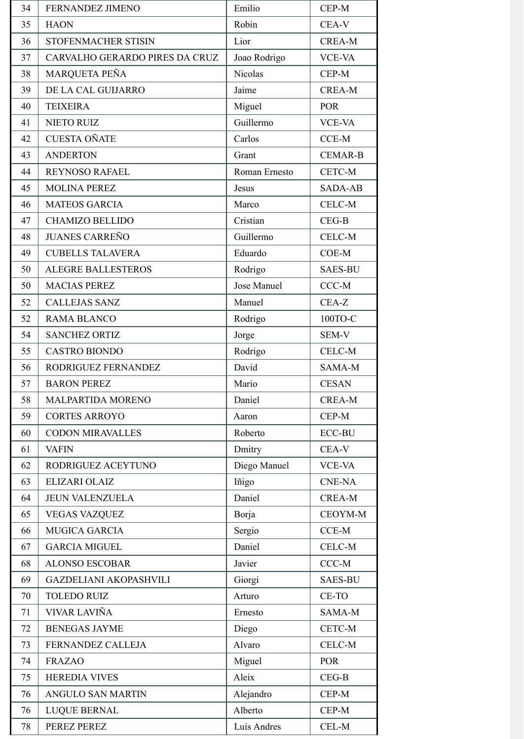| 34 | <b>FERNANDEZ JIMENO</b>        | Emilio        | CEP-M          |
|----|--------------------------------|---------------|----------------|
| 35 | <b>HAON</b>                    | Robin         | CEA-V          |
| 36 | STOFENMACHER STISIN            | Lior          | <b>CREA-M</b>  |
| 37 | CARVALHO GERARDO PIRES DA CRUZ | Joao Rodrigo  | <b>VCE-VA</b>  |
| 38 | MARQUETA PEÑA                  | Nicolas       | CEP-M          |
| 39 | DE LA CAL GUIJARRO             | Jaime         | <b>CREA-M</b>  |
| 40 | <b>TEIXEIRA</b>                | Miguel        | <b>POR</b>     |
| 41 | <b>NIETO RUIZ</b>              | Guillermo     | <b>VCE-VA</b>  |
| 42 | <b>CUESTA OÑATE</b>            | Carlos        | $CCE-M$        |
| 43 | <b>ANDERTON</b>                | Grant         | <b>CEMAR-B</b> |
| 44 | <b>REYNOSO RAFAEL</b>          | Roman Ernesto | CETC-M         |
| 45 | <b>MOLINA PEREZ</b>            | Jesus         | <b>SADA-AB</b> |
| 46 | <b>MATEOS GARCIA</b>           | Marco         | CELC-M         |
| 47 | <b>CHAMIZO BELLIDO</b>         | Cristian      | $CEG-B$        |
| 48 | <b>JUANES CARREÑO</b>          | Guillermo     | CELC-M         |
| 49 | <b>CUBELLS TALAVERA</b>        | Eduardo       | $COE-M$        |
| 50 | <b>ALEGRE BALLESTEROS</b>      | Rodrigo       | <b>SAES-BU</b> |
| 50 | <b>MACIAS PEREZ</b>            | Jose Manuel   | $CCC-M$        |
| 52 | <b>CALLEJAS SANZ</b>           | Manuel        | CEA-Z          |
| 52 | <b>RAMA BLANCO</b>             | Rodrigo       | 100TO-C        |
| 54 | <b>SANCHEZ ORTIZ</b>           | Jorge         | SEM-V          |
| 55 | <b>CASTRO BIONDO</b>           | Rodrigo       | CELC-M         |
| 56 | RODRIGUEZ FERNANDEZ            | David         | SAMA-M         |
| 57 | <b>BARON PEREZ</b>             | Mario         | <b>CESAN</b>   |
| 58 | MALPARTIDA MORENO              | Daniel        | <b>CREA-M</b>  |
| 59 | <b>CORTES ARROYO</b>           | Aaron         | CEP-M          |
| 60 | <b>CODON MIRAVALLES</b>        | Roberto       | <b>ECC-BU</b>  |
| 61 | <b>VAFIN</b>                   | Dmitry        | CEA-V          |
| 62 | RODRIGUEZ ACEYTUNO             | Diego Manuel  | <b>VCE-VA</b>  |
| 63 | <b>ELIZARI OLAIZ</b>           | Iñigo         | <b>CNE-NA</b>  |
| 64 | <b>JEUN VALENZUELA</b>         | Daniel        | <b>CREA-M</b>  |
| 65 | <b>VEGAS VAZQUEZ</b>           | Borja         | CEOYM-M        |
| 66 | <b>MUGICA GARCIA</b>           | Sergio        | CCE-M          |
| 67 | <b>GARCIA MIGUEL</b>           | Daniel        | CELC-M         |
| 68 | <b>ALONSO ESCOBAR</b>          | Javier        | $CCC-M$        |
| 69 | <b>GAZDELIANI AKOPASHVILI</b>  | Giorgi        | <b>SAES-BU</b> |
| 70 | <b>TOLEDO RUIZ</b>             | Arturo        | CE-TO          |
| 71 | VIVAR LAVIÑA                   | Ernesto       | SAMA-M         |
| 72 | <b>BENEGAS JAYME</b>           | Diego         | CETC-M         |
| 73 | FERNANDEZ CALLEJA              | Alvaro        | CELC-M         |
| 74 | <b>FRAZAO</b>                  | Miguel        | POR            |
| 75 | <b>HEREDIA VIVES</b>           | Aleix         | $CEG-B$        |
| 76 | <b>ANGULO SAN MARTIN</b>       | Alejandro     | CEP-M          |
| 76 | <b>LUQUE BERNAL</b>            | Alberto       | CEP-M          |
| 78 | PEREZ PEREZ                    | Luis Andres   | CEL-M          |